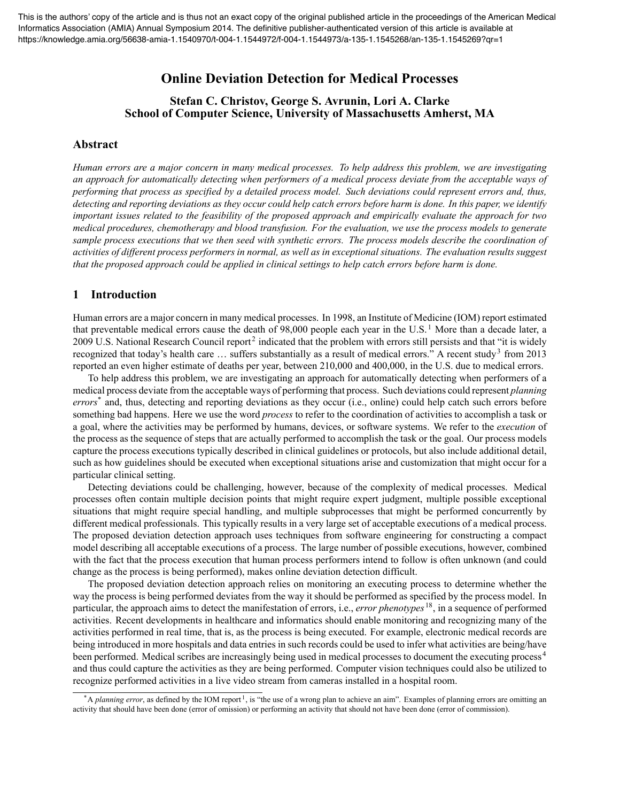# **Online Deviation Detection for Medical Processes**

## **Stefan C. Christov, George S. Avrunin, Lori A. Clarke School of Computer Science, University of Massachusetts Amherst, MA**

#### **Abstract**

*Human errors are a major concern in many medical processes. To help address this problem, we are investigating an approach for automatically detecting when performers of a medical process deviate from the acceptable ways of performing that process as specified by a detailed process model. Such deviations could represent errors and, thus, detecting and reporting deviations as they occur could help catch errors before harm is done. In this paper, we identify important issues related to the feasibility of the proposed approach and empirically evaluate the approach for two medical procedures, chemotherapy and blood transfusion. For the evaluation, we use the process models to generate sample process executions that we then seed with synthetic errors. The process models describe the coordination of activities of different process performers in normal, as well as in exceptional situations. The evaluation results suggest that the proposed approach could be applied in clinical settings to help catch errors before harm is done.*

### **1 Introduction**

Human errors are a major concern in many medical processes. In 1998, an Institute of Medicine (IOM) report estimated that preventable medical errors cause the death of 98,000 people each year in the U.S.<sup>[1](#page-9-0)</sup> More than a decade later, a [2](#page-9-1)009 U.S. National Research Council report<sup>2</sup> indicated that the problem with errors still persists and that "it is widely recognized that today's health care  $\ldots$  suffers substantially as a result of medical errors." A recent study<sup>[3](#page-9-2)</sup> from 2013 reported an even higher estimate of deaths per year, between 210,000 and 400,000, in the U.S. due to medical errors.

To help address this problem, we are investigating an approach for automatically detecting when performers of a medical process deviate from the acceptable ways of performing that process. Such deviations could represent *planning errors*[\\*](#page-0-0) and, thus, detecting and reporting deviations as they occur (i.e., online) could help catch such errors before something bad happens. Here we use the word *process* to refer to the coordination of activities to accomplish a task or a goal, where the activities may be performed by humans, devices, or software systems. We refer to the *execution* of the process as the sequence of steps that are actually performed to accomplish the task or the goal. Our process models capture the process executions typically described in clinical guidelines or protocols, but also include additional detail, such as how guidelines should be executed when exceptional situations arise and customization that might occur for a particular clinical setting.

Detecting deviations could be challenging, however, because of the complexity of medical processes. Medical processes often contain multiple decision points that might require expert judgment, multiple possible exceptional situations that might require special handling, and multiple subprocesses that might be performed concurrently by different medical professionals. This typically results in a very large set of acceptable executions of a medical process. The proposed deviation detection approach uses techniques from software engineering for constructing a compact model describing all acceptable executions of a process. The large number of possible executions, however, combined with the fact that the process execution that human process performers intend to follow is often unknown (and could change as the process is being performed), makes online deviation detection difficult.

The proposed deviation detection approach relies on monitoring an executing process to determine whether the way the process is being performed deviates from the way it should be performed as specified by the process model. In particular, the approach aims to detect the manifestation of errors, i.e., *error phenotypes* [18](#page-9-3), in a sequence of performed activities. Recent developments in healthcare and informatics should enable monitoring and recognizing many of the activities performed in real time, that is, as the process is being executed. For example, electronic medical records are being introduced in more hospitals and data entries in such records could be used to infer what activities are being/have been performed. Medical scribes are increasingly being used in medical processes to document the executing process [4](#page-9-4) and thus could capture the activities as they are being performed. Computer vision techniques could also be utilized to recognize performed activities in a live video stream from cameras installed in a hospital room.

<span id="page-0-0"></span><sup>\*</sup>A *planning error*, as defined by the IOM report<sup>[1](#page-9-0)</sup>, is "the use of a wrong plan to achieve an aim". Examples of planning errors are omitting an activity that should have been done (error of omission) or performing an activity that should not have been done (error of commission).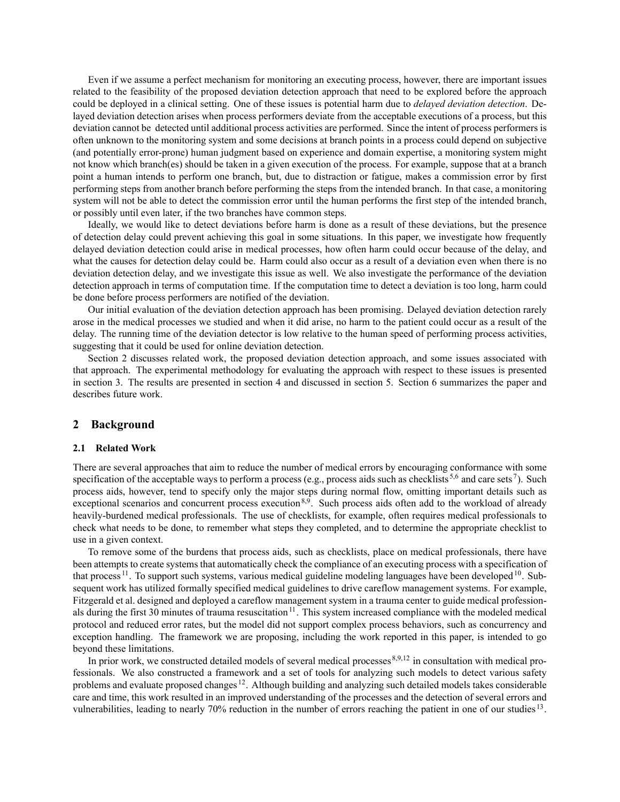Even if we assume a perfect mechanism for monitoring an executing process, however, there are important issues related to the feasibility of the proposed deviation detection approach that need to be explored before the approach could be deployed in a clinical setting. One of these issues is potential harm due to *delayed deviation detection*. Delayed deviation detection arises when process performers deviate from the acceptable executions of a process, but this deviation cannot be detected until additional process activities are performed. Since the intent of process performers is often unknown to the monitoring system and some decisions at branch points in a process could depend on subjective (and potentially error-prone) human judgment based on experience and domain expertise, a monitoring system might not know which branch(es) should be taken in a given execution of the process. For example, suppose that at a branch point a human intends to perform one branch, but, due to distraction or fatigue, makes a commission error by first performing steps from another branch before performing the steps from the intended branch. In that case, a monitoring system will not be able to detect the commission error until the human performs the first step of the intended branch, or possibly until even later, if the two branches have common steps.

Ideally, we would like to detect deviations before harm is done as a result of these deviations, but the presence of detection delay could prevent achieving this goal in some situations. In this paper, we investigate how frequently delayed deviation detection could arise in medical processes, how often harm could occur because of the delay, and what the causes for detection delay could be. Harm could also occur as a result of a deviation even when there is no deviation detection delay, and we investigate this issue as well. We also investigate the performance of the deviation detection approach in terms of computation time. If the computation time to detect a deviation is too long, harm could be done before process performers are notified of the deviation.

Our initial evaluation of the deviation detection approach has been promising. Delayed deviation detection rarely arose in the medical processes we studied and when it did arise, no harm to the patient could occur as a result of the delay. The running time of the deviation detector is low relative to the human speed of performing process activities, suggesting that it could be used for online deviation detection.

Section [2](#page-1-0) discusses related work, the proposed deviation detection approach, and some issues associated with that approach. The experimental methodology for evaluating the approach with respect to these issues is presented in section [3](#page-4-0). The results are presented in section [4](#page-6-0) and discussed in section [5](#page-6-1). Section [6](#page-8-0) summarizes the paper and describes future work.

#### <span id="page-1-0"></span>**2 Background**

#### **2.1 Related Work**

There are several approaches that aim to reduce the number of medical errors by encouraging conformance with some specification of the acceptable ways to perform a process (e.g., process aids such as checklists<sup>[5](#page-9-5)[,6](#page-9-6)</sup> and care sets<sup>[7](#page-9-7)</sup>). Such process aids, however, tend to specify only the major steps during normal flow, omitting important details such as exceptional scenarios and concurrent process execution<sup>[8](#page-9-8),[9](#page-9-9)</sup>. Such process aids often add to the workload of already heavily-burdened medical professionals. The use of checklists, for example, often requires medical professionals to check what needs to be done, to remember what steps they completed, and to determine the appropriate checklist to use in a given context.

To remove some of the burdens that process aids, such as checklists, place on medical professionals, there have been attempts to create systems that automatically check the compliance of an executing process with a specification of that process  $11$ . To support such systems, various medical guideline modeling languages have been developed  $10$ . Subsequent work has utilized formally specified medical guidelines to drive careflow management systems. For example, Fitzgerald et al. designed and deployed a careflow management system in a trauma center to guide medical profession-als during the first 30 minutes of trauma resuscitation<sup>[11](#page-9-10)</sup>. This system increased compliance with the modeled medical protocol and reduced error rates, but the model did not support complex process behaviors, such as concurrency and exception handling. The framework we are proposing, including the work reported in this paper, is intended to go beyond these limitations.

In prior work, we constructed detailed models of several medical processes [8,](#page-9-8)[9](#page-9-9),[12](#page-9-12) in consultation with medical professionals. We also constructed a framework and a set of tools for analyzing such models to detect various safety problems and evaluate proposed changes<sup>[12](#page-9-12)</sup>. Although building and analyzing such detailed models takes considerable care and time, this work resulted in an improved understanding of the processes and the detection of several errors and vulnerabilities, leading to nearly 70% reduction in the number of errors reaching the patient in one of our studies [13](#page-9-13).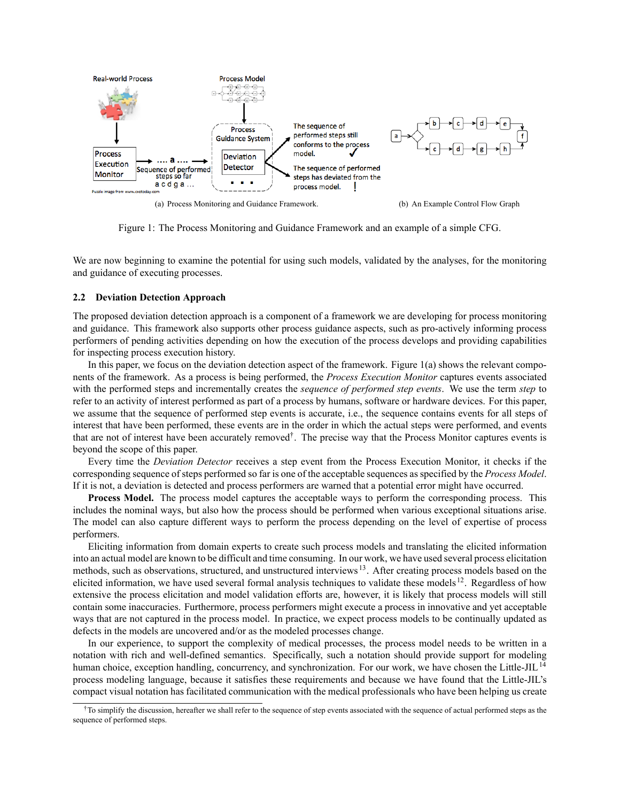<span id="page-2-0"></span>

<span id="page-2-2"></span>Figure 1: The Process Monitoring and Guidance Framework and an example of a simple CFG.

We are now beginning to examine the potential for using such models, validated by the analyses, for the monitoring and guidance of executing processes.

#### <span id="page-2-3"></span>**2.2 Deviation Detection Approach**

The proposed deviation detection approach is a component of a framework we are developing for process monitoring and guidance. This framework also supports other process guidance aspects, such as pro-actively informing process performers of pending activities depending on how the execution of the process develops and providing capabilities for inspecting process execution history.

In this paper, we focus on the deviation detection aspect of the framework. Figure  $1(a)$  shows the relevant components of the framework. As a process is being performed, the *Process Execution Monitor* captures events associated with the performed steps and incrementally creates the *sequence of performed step events*. We use the term *step* to refer to an activity of interest performed as part of a process by humans, software or hardware devices. For this paper, we assume that the sequence of performed step events is accurate, i.e., the sequence contains events for all steps of interest that have been performed, these events are in the order in which the actual steps were performed, and events that are not of interest have been accurately remove[d†](#page-2-1). The precise way that the Process Monitor captures events is beyond the scope of this paper.

Every time the *Deviation Detector* receives a step event from the Process Execution Monitor, it checks if the corresponding sequence of steps performed so far is one of the acceptable sequences as specified by the *Process Model*. If it is not, a deviation is detected and process performers are warned that a potential error might have occurred.

**Process Model.** The process model captures the acceptable ways to perform the corresponding process. This includes the nominal ways, but also how the process should be performed when various exceptional situations arise. The model can also capture different ways to perform the process depending on the level of expertise of process performers.

Eliciting information from domain experts to create such process models and translating the elicited information into an actual model are known to be difficult and time consuming. In our work, we have used several process elicitation methods, such as observations, structured, and unstructured interviews [13](#page-9-13). After creating process models based on the elicited information, we have used several formal analysis techniques to validate these models [12](#page-9-12). Regardless of how extensive the process elicitation and model validation efforts are, however, it is likely that process models will still contain some inaccuracies. Furthermore, process performers might execute a process in innovative and yet acceptable ways that are not captured in the process model. In practice, we expect process models to be continually updated as defects in the models are uncovered and/or as the modeled processes change.

In our experience, to support the complexity of medical processes, the process model needs to be written in a notation with rich and well-defined semantics. Specifically, such a notation should provide support for modeling human choice, exception handling, concurrency, and synchronization. For our work, we have chosen the Little-JIL<sup>[14](#page-9-14)</sup> process modeling language, because it satisfies these requirements and because we have found that the Little-JIL's compact visual notation has facilitated communication with the medical professionals who have been helping us create

<span id="page-2-1"></span><sup>†</sup>To simplify the discussion, hereafter we shall refer to the sequence of step events associated with the sequence of actual performed steps as the sequence of performed steps.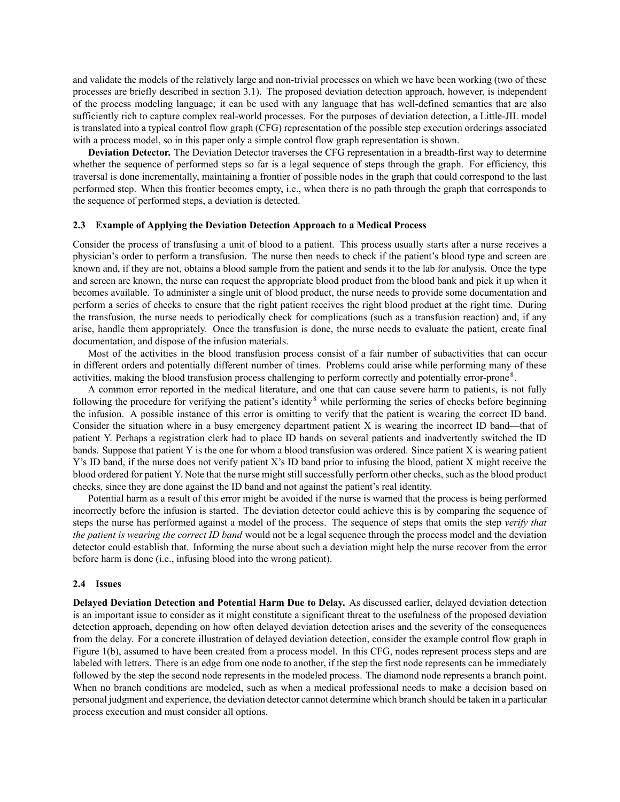and validate the models of the relatively large and non-trivial processes on which we have been working (two of these processes are briefly described in section [3.1\)](#page-4-1). The proposed deviation detection approach, however, is independent of the process modeling language; it can be used with any language that has well-defined semantics that are also sufficiently rich to capture complex real-world processes. For the purposes of deviation detection, a Little-JIL model is translated into a typical control flow graph (CFG) representation of the possible step execution orderings associated with a process model, so in this paper only a simple control flow graph representation is shown.

**Deviation Detector.** The Deviation Detector traverses the CFG representation in a breadth-first way to determine whether the sequence of performed steps so far is a legal sequence of steps through the graph. For efficiency, this traversal is done incrementally, maintaining a frontier of possible nodes in the graph that could correspond to the last performed step. When this frontier becomes empty, i.e., when there is no path through the graph that corresponds to the sequence of performed steps, a deviation is detected.

#### **2.3 Example of Applying the Deviation Detection Approach to a Medical Process**

Consider the process of transfusing a unit of blood to a patient. This process usually starts after a nurse receives a physician's order to perform a transfusion. The nurse then needs to check if the patient's blood type and screen are known and, if they are not, obtains a blood sample from the patient and sends it to the lab for analysis. Once the type and screen are known, the nurse can request the appropriate blood product from the blood bank and pick it up when it becomes available. To administer a single unit of blood product, the nurse needs to provide some documentation and perform a series of checks to ensure that the right patient receives the right blood product at the right time. During the transfusion, the nurse needs to periodically check for complications (such as a transfusion reaction) and, if any arise, handle them appropriately. Once the transfusion is done, the nurse needs to evaluate the patient, create final documentation, and dispose of the infusion materials.

Most of the activities in the blood transfusion process consist of a fair number of subactivities that can occur in different orders and potentially different number of times. Problems could arise while performing many of these activities, making the blood transfusion process challenging to perform correctly and potentially error-prone<sup>[8](#page-9-8)</sup>.

A common error reported in the medical literature, and one that can cause severe harm to patients, is not fully following the procedure for verifying the patient's identity<sup>[8](#page-9-8)</sup> while performing the series of checks before beginning the infusion. A possible instance of this error is omitting to verify that the patient is wearing the correct ID band. Consider the situation where in a busy emergency department patient X is wearing the incorrect ID band—that of patient Y. Perhaps a registration clerk had to place ID bands on several patients and inadvertently switched the ID bands. Suppose that patient Y is the one for whom a blood transfusion was ordered. Since patient X is wearing patient Y's ID band, if the nurse does not verify patient X's ID band prior to infusing the blood, patient X might receive the blood ordered for patient Y. Note that the nurse might still successfully perform other checks, such as the blood product checks, since they are done against the ID band and not against the patient's real identity.

Potential harm as a result of this error might be avoided if the nurse is warned that the process is being performed incorrectly before the infusion is started. The deviation detector could achieve this is by comparing the sequence of steps the nurse has performed against a model of the process. The sequence of steps that omits the step *verify that the patient is wearing the correct ID band* would not be a legal sequence through the process model and the deviation detector could establish that. Informing the nurse about such a deviation might help the nurse recover from the error before harm is done (i.e., infusing blood into the wrong patient).

#### **2.4 Issues**

**Delayed Deviation Detection and Potential Harm Due to Delay.** As discussed earlier, delayed deviation detection is an important issue to consider as it might constitute a significant threat to the usefulness of the proposed deviation detection approach, depending on how often delayed deviation detection arises and the severity of the consequences from the delay. For a concrete illustration of delayed deviation detection, consider the example control flow graph in Figure [1\(b\)](#page-2-2), assumed to have been created from a process model. In this CFG, nodes represent process steps and are labeled with letters. There is an edge from one node to another, if the step the first node represents can be immediately followed by the step the second node represents in the modeled process. The diamond node represents a branch point. When no branch conditions are modeled, such as when a medical professional needs to make a decision based on personal judgment and experience, the deviation detector cannot determine which branch should be taken in a particular process execution and must consider all options.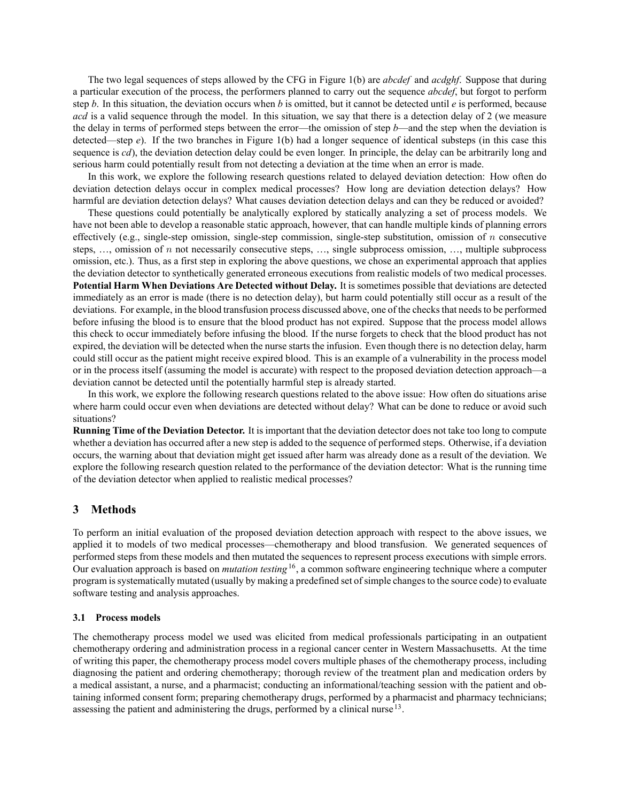The two legal sequences of steps allowed by the CFG in Figure [1\(b\)](#page-2-2) are *abcdef* and *acdghf*. Suppose that during a particular execution of the process, the performers planned to carry out the sequence *abcdef*, but forgot to perform step *b*. In this situation, the deviation occurs when *b* is omitted, but it cannot be detected until *e* is performed, because *acd* is a valid sequence through the model. In this situation, we say that there is a detection delay of 2 (we measure the delay in terms of performed steps between the error—the omission of step *b*—and the step when the deviation is detected—step *e*). If the two branches in Figure [1\(b\)](#page-2-2) had a longer sequence of identical substeps (in this case this sequence is *cd*), the deviation detection delay could be even longer. In principle, the delay can be arbitrarily long and serious harm could potentially result from not detecting a deviation at the time when an error is made.

In this work, we explore the following research questions related to delayed deviation detection: How often do deviation detection delays occur in complex medical processes? How long are deviation detection delays? How harmful are deviation detection delays? What causes deviation detection delays and can they be reduced or avoided?

These questions could potentially be analytically explored by statically analyzing a set of process models. We have not been able to develop a reasonable static approach, however, that can handle multiple kinds of planning errors effectively (e.g., single-step omission, single-step commission, single-step substitution, omission of *n* consecutive steps, …, omission of *n* not necessarily consecutive steps, …, single subprocess omission, …, multiple subprocess omission, etc.). Thus, as a first step in exploring the above questions, we chose an experimental approach that applies the deviation detector to synthetically generated erroneous executions from realistic models of two medical processes. **Potential Harm When Deviations Are Detected without Delay.** It is sometimes possible that deviations are detected immediately as an error is made (there is no detection delay), but harm could potentially still occur as a result of the deviations. For example, in the blood transfusion process discussed above, one of the checks that needs to be performed before infusing the blood is to ensure that the blood product has not expired. Suppose that the process model allows this check to occur immediately before infusing the blood. If the nurse forgets to check that the blood product has not expired, the deviation will be detected when the nurse starts the infusion. Even though there is no detection delay, harm could still occur as the patient might receive expired blood. This is an example of a vulnerability in the process model or in the process itself (assuming the model is accurate) with respect to the proposed deviation detection approach—a deviation cannot be detected until the potentially harmful step is already started.

In this work, we explore the following research questions related to the above issue: How often do situations arise where harm could occur even when deviations are detected without delay? What can be done to reduce or avoid such situations?

**Running Time of the Deviation Detector.** It is important that the deviation detector does not take too long to compute whether a deviation has occurred after a new step is added to the sequence of performed steps. Otherwise, if a deviation occurs, the warning about that deviation might get issued after harm was already done as a result of the deviation. We explore the following research question related to the performance of the deviation detector: What is the running time of the deviation detector when applied to realistic medical processes?

### <span id="page-4-0"></span>**3 Methods**

To perform an initial evaluation of the proposed deviation detection approach with respect to the above issues, we applied it to models of two medical processes—chemotherapy and blood transfusion. We generated sequences of performed steps from these models and then mutated the sequences to represent process executions with simple errors. Our evaluation approach is based on *mutation testing*[16](#page-9-15), a common software engineering technique where a computer program is systematically mutated (usually by making a predefined set of simple changes to the source code) to evaluate software testing and analysis approaches.

#### <span id="page-4-1"></span>**3.1 Process models**

The chemotherapy process model we used was elicited from medical professionals participating in an outpatient chemotherapy ordering and administration process in a regional cancer center in Western Massachusetts. At the time of writing this paper, the chemotherapy process model covers multiple phases of the chemotherapy process, including diagnosing the patient and ordering chemotherapy; thorough review of the treatment plan and medication orders by a medical assistant, a nurse, and a pharmacist; conducting an informational/teaching session with the patient and obtaining informed consent form; preparing chemotherapy drugs, performed by a pharmacist and pharmacy technicians; assessing the patient and administering the drugs, performed by a clinical nurse <sup>[13](#page-9-13)</sup>.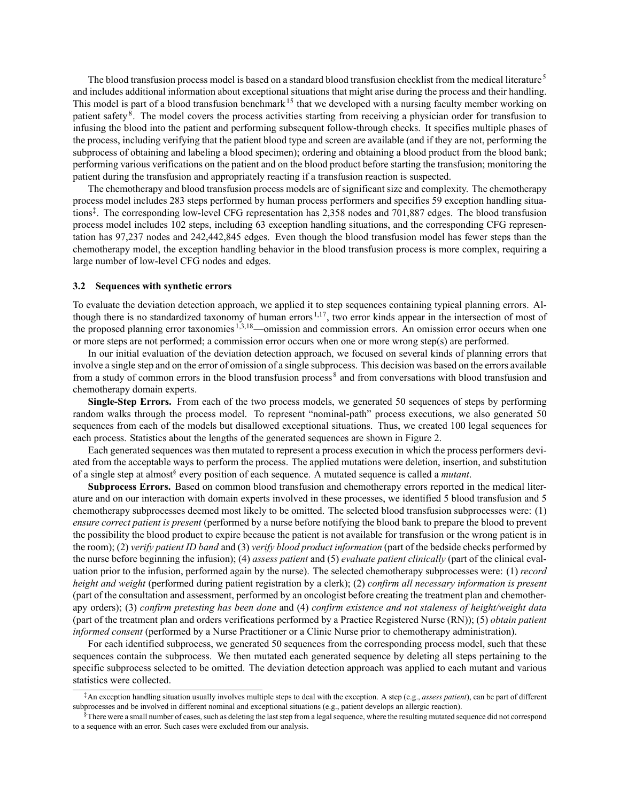The blood transfusion process model is based on a standard blood transfusion checklist from the medical literature<sup>[5](#page-9-5)</sup> and includes additional information about exceptional situations that might arise during the process and their handling. This model is part of a blood transfusion benchmark<sup>[15](#page-9-16)</sup> that we developed with a nursing faculty member working on patient safety<sup>[8](#page-9-8)</sup>. The model covers the process activities starting from receiving a physician order for transfusion to infusing the blood into the patient and performing subsequent follow-through checks. It specifies multiple phases of the process, including verifying that the patient blood type and screen are available (and if they are not, performing the subprocess of obtaining and labeling a blood specimen); ordering and obtaining a blood product from the blood bank; performing various verifications on the patient and on the blood product before starting the transfusion; monitoring the patient during the transfusion and appropriately reacting if a transfusion reaction is suspected.

The chemotherapy and blood transfusion process models are of significant size and complexity. The chemotherapy process model includes 283 steps performed by human process performers and specifies 59 exception handling situations[‡](#page-5-0). The corresponding low-level CFG representation has 2,358 nodes and 701,887 edges. The blood transfusion process model includes 102 steps, including 63 exception handling situations, and the corresponding CFG representation has 97,237 nodes and 242,442,845 edges. Even though the blood transfusion model has fewer steps than the chemotherapy model, the exception handling behavior in the blood transfusion process is more complex, requiring a large number of low-level CFG nodes and edges.

#### **3.2 Sequences with synthetic errors**

To evaluate the deviation detection approach, we applied it to step sequences containing typical planning errors. Al-though there is no standardized taxonomy of human errors<sup>[1](#page-9-0)[,17](#page-9-17)</sup>, two error kinds appear in the intersection of most of the proposed planning error taxonomies <sup>[1](#page-9-0),[3](#page-9-2)[,18](#page-9-3)</sup>—omission and commission errors. An omission error occurs when one or more steps are not performed; a commission error occurs when one or more wrong step(s) are performed.

In our initial evaluation of the deviation detection approach, we focused on several kinds of planning errors that involve a single step and on the error of omission of a single subprocess. This decision was based on the errors available from a study of common errors in the blood transfusion process [8](#page-9-8) and from conversations with blood transfusion and chemotherapy domain experts.

**Single-Step Errors.** From each of the two process models, we generated 50 sequences of steps by performing random walks through the process model. To represent "nominal-path" process executions, we also generated 50 sequences from each of the models but disallowed exceptional situations. Thus, we created 100 legal sequences for each process. Statistics about the lengths of the generated sequences are shown in Figure [2.](#page-6-2)

Each generated sequences was then mutated to represent a process execution in which the process performers deviated from the acceptable ways to perform the process. The applied mutations were deletion, insertion, and substitution of a single step at almost[§](#page-5-1) every position of each sequence. A mutated sequence is called a *mutant*.

**Subprocess Errors.** Based on common blood transfusion and chemotherapy errors reported in the medical literature and on our interaction with domain experts involved in these processes, we identified 5 blood transfusion and 5 chemotherapy subprocesses deemed most likely to be omitted. The selected blood transfusion subprocesses were: (1) *ensure correct patient is present* (performed by a nurse before notifying the blood bank to prepare the blood to prevent the possibility the blood product to expire because the patient is not available for transfusion or the wrong patient is in the room); (2) *verify patient ID band* and (3) *verify blood product information* (part of the bedside checks performed by the nurse before beginning the infusion); (4) *assess patient* and (5) *evaluate patient clinically* (part of the clinical evaluation prior to the infusion, performed again by the nurse). The selected chemotherapy subprocesses were: (1) *record height and weight* (performed during patient registration by a clerk); (2) *confirm all necessary information is present* (part of the consultation and assessment, performed by an oncologist before creating the treatment plan and chemotherapy orders); (3) *confirm pretesting has been done* and (4) *confirm existence and not staleness of height/weight data* (part of the treatment plan and orders verifications performed by a Practice Registered Nurse (RN)); (5) *obtain patient informed consent* (performed by a Nurse Practitioner or a Clinic Nurse prior to chemotherapy administration).

For each identified subprocess, we generated 50 sequences from the corresponding process model, such that these sequences contain the subprocess. We then mutated each generated sequence by deleting all steps pertaining to the specific subprocess selected to be omitted. The deviation detection approach was applied to each mutant and various statistics were collected.

<span id="page-5-0"></span><sup>‡</sup>An exception handling situation usually involves multiple steps to deal with the exception. A step (e.g., *assess patient*), can be part of different subprocesses and be involved in different nominal and exceptional situations (e.g., patient develops an allergic reaction).

<span id="page-5-1"></span> $§$ There were a small number of cases, such as deleting the last step from a legal sequence, where the resulting mutated sequence did not correspond to a sequence with an error. Such cases were excluded from our analysis.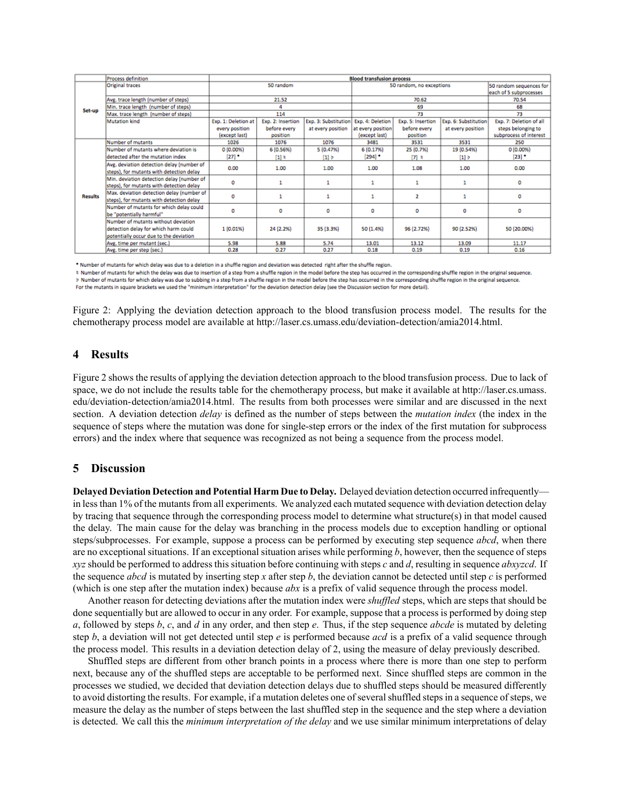|                | Process definition                        | <b>Blood transfusion process</b> |                   |                      |                          |                   |                      |                         |
|----------------|-------------------------------------------|----------------------------------|-------------------|----------------------|--------------------------|-------------------|----------------------|-------------------------|
| Set-up         | <b>Original traces</b>                    | 50 random                        |                   |                      | 50 random, no exceptions |                   |                      | 50 random sequences for |
|                |                                           |                                  |                   |                      |                          |                   |                      | each of 5 subprocesses  |
|                | Avg. trace length (number of steps)       | 21.52                            |                   |                      | 70.62                    |                   |                      | 70.54                   |
|                | Min. trace length (number of steps)       | 4                                |                   |                      | 69                       |                   |                      | 68                      |
|                | Max. trace length (number of steps)       | 114                              |                   |                      | 73                       |                   |                      | 73                      |
|                | Mutation kind                             | Exp. 1: Deletion at              | Exp. 2: Insertion | Exp. 3: Substitution | Exp. 4: Deletion         | Exp. 5: Insertion | Exp. 6: Substitution | Exp. 7: Deletion of all |
|                |                                           | every position                   | before every      | at every position    | at every position        | before every      | at every position    | steps belonging to      |
|                |                                           | (except last)                    | position          |                      | (except last)            | position          |                      | subprocess of interest  |
| <b>Results</b> | Number of mutants                         | 1026                             | 1076              | 1076                 | 3481                     | 3531              | 3531                 | 250                     |
|                | Number of mutants where deviation is      | 0(0.00%                          | 6 (0.56%)         | 5 (0.47%)            | 6 (0.17%)                | 25 (0.7%)         | 19 (0.54%)           | 0(0.00%                 |
|                | detected after the mutation index         | $[27]$ *                         | $[1]$ k           | $\left[1\right]$ b   | $[294]$ *                | $[7]$ 5           | [1]                  | $[23]$ $^{\bullet}$     |
|                | Avg. deviation detection delay (number of | 0.00                             | 1.00              | 1.00                 | 1.00                     | 1.08              | 1.00                 | 0.00                    |
|                | steps), for mutants with detection delay  |                                  |                   |                      |                          |                   |                      |                         |
|                | Min. deviation detection delay (number of | 0                                |                   |                      |                          |                   |                      | ٥                       |
|                | steps), for mutants with detection delay  |                                  |                   |                      |                          |                   |                      |                         |
|                | Max. deviation detection delay (number of | o                                |                   |                      |                          | 2                 |                      | ٥                       |
|                | steps), for mutants with detection delay  |                                  |                   |                      |                          |                   |                      |                         |
|                | Number of mutants for which delay could   | o                                | 0                 | ٥                    | 0                        | 0                 | o                    | ٥                       |
|                | be "potentially harmful"                  |                                  |                   |                      |                          |                   |                      |                         |
|                | Number of mutants without deviation       |                                  |                   |                      |                          |                   |                      |                         |
|                | detection delay for which harm could      | 1 (0.01%)                        | 24 (2.2%)         | 35 (3.3%)            | 50 (1.4%)                | 96 (2.72%)        | 90 (2.52%)           | 50 (20.00%)             |
|                | potentially occur due to the deviation    |                                  |                   |                      |                          |                   |                      |                         |
|                | Avg. time per mutant (sec.)               | 5.98                             | 5.88              | 5.74                 | 13.01                    | 13.12             | 13.09                | 11.17                   |
|                | Avg. time per step (sec.)                 | 0.28                             | 0.27              | 0.27                 | 0.18                     | 0.19              | 0.19                 | 0.16                    |

\* Number of mutants for which delay was due to a deletion in a shuffle region and deviation was detected right after the shuffle region.

# Number of mutants for which the delay was due to insertion of a step from a shuffle region in the model before the step has occurred in the corresponding shuffle region in the original sequence. > Number of mutants for which delay was due to subbing in a step from a shuffle region in the model before the step has occurred in the corresponding shuffle region in the original sequence. For the mutants in square brackets we used the "minimum interpretation" for the deviation detection delay (see the Discussion section for more detail).

<span id="page-6-2"></span>Figure 2: Applying the deviation detection approach to the blood transfusion process model. The results for the chemotherapy process model are available at <http://laser.cs.umass.edu/deviation-detection/amia2014.html>.

### <span id="page-6-0"></span>**4 Results**

Figure [2](#page-6-2) shows the results of applying the deviation detection approach to the blood transfusion process. Due to lack of space, we do not include the results table for the chemotherapy process, but make it available at [http://laser.cs.umass.](http://laser.cs.umass.edu/deviation-detection/amia2014.html) [edu/deviation-detection/amia2014.html](http://laser.cs.umass.edu/deviation-detection/amia2014.html). The results from both processes were similar and are discussed in the next section. A deviation detection *delay* is defined as the number of steps between the *mutation index* (the index in the sequence of steps where the mutation was done for single-step errors or the index of the first mutation for subprocess errors) and the index where that sequence was recognized as not being a sequence from the process model.

## <span id="page-6-1"></span>**5 Discussion**

**Delayed Deviation Detection and Potential Harm Due to Delay.** Delayed deviation detection occurred infrequently in less than 1% of the mutants from all experiments. We analyzed each mutated sequence with deviation detection delay by tracing that sequence through the corresponding process model to determine what structure(s) in that model caused the delay. The main cause for the delay was branching in the process models due to exception handling or optional steps/subprocesses. For example, suppose a process can be performed by executing step sequence *abcd*, when there are no exceptional situations. If an exceptional situation arises while performing *b*, however, then the sequence of steps *xyz* should be performed to address this situation before continuing with steps *c* and *d*, resulting in sequence *abxyzcd*. If the sequence *abcd* is mutated by inserting step *x* after step *b*, the deviation cannot be detected until step *c* is performed (which is one step after the mutation index) because *abx* is a prefix of valid sequence through the process model.

Another reason for detecting deviations after the mutation index were *shuffled* steps, which are steps that should be done sequentially but are allowed to occur in any order. For example, suppose that a process is performed by doing step *a*, followed by steps *b*, *c*, and *d* in any order, and then step *e*. Thus, if the step sequence *abcde* is mutated by deleting step *b*, a deviation will not get detected until step *e* is performed because *acd* is a prefix of a valid sequence through the process model. This results in a deviation detection delay of 2, using the measure of delay previously described.

Shuffled steps are different from other branch points in a process where there is more than one step to perform next, because any of the shuffled steps are acceptable to be performed next. Since shuffled steps are common in the processes we studied, we decided that deviation detection delays due to shuffled steps should be measured differently to avoid distorting the results. For example, if a mutation deletes one of several shuffled steps in a sequence of steps, we measure the delay as the number of steps between the last shuffled step in the sequence and the step where a deviation is detected. We call this the *minimum interpretation of the delay* and we use similar minimum interpretations of delay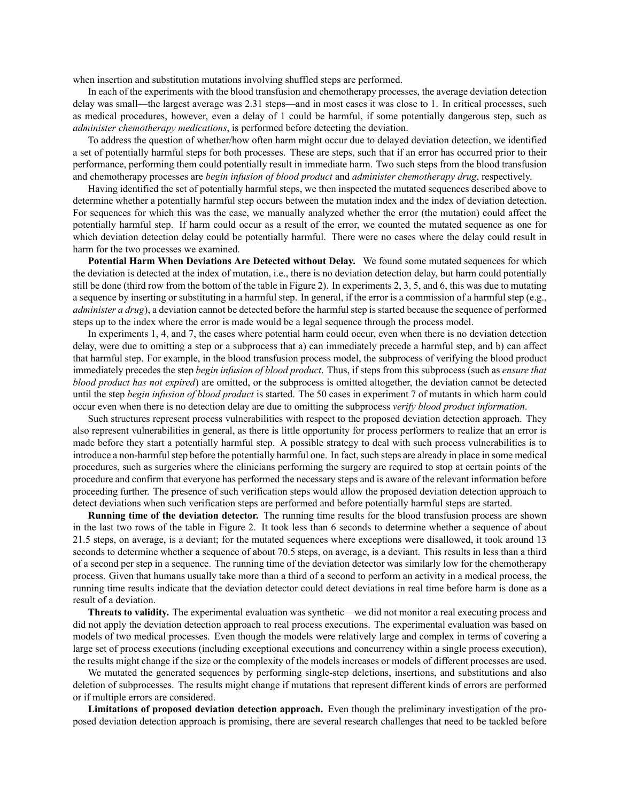when insertion and substitution mutations involving shuffled steps are performed.

In each of the experiments with the blood transfusion and chemotherapy processes, the average deviation detection delay was small—the largest average was 2.31 steps—and in most cases it was close to 1. In critical processes, such as medical procedures, however, even a delay of 1 could be harmful, if some potentially dangerous step, such as *administer chemotherapy medications*, is performed before detecting the deviation.

To address the question of whether/how often harm might occur due to delayed deviation detection, we identified a set of potentially harmful steps for both processes. These are steps, such that if an error has occurred prior to their performance, performing them could potentially result in immediate harm. Two such steps from the blood transfusion and chemotherapy processes are *begin infusion of blood product* and *administer chemotherapy drug*, respectively.

Having identified the set of potentially harmful steps, we then inspected the mutated sequences described above to determine whether a potentially harmful step occurs between the mutation index and the index of deviation detection. For sequences for which this was the case, we manually analyzed whether the error (the mutation) could affect the potentially harmful step. If harm could occur as a result of the error, we counted the mutated sequence as one for which deviation detection delay could be potentially harmful. There were no cases where the delay could result in harm for the two processes we examined.

**Potential Harm When Deviations Are Detected without Delay.** We found some mutated sequences for which the deviation is detected at the index of mutation, i.e., there is no deviation detection delay, but harm could potentially still be done (third row from the bottom of the table in Figure [2\)](#page-6-2). In experiments 2, 3, 5, and 6, this was due to mutating a sequence by inserting or substituting in a harmful step. In general, if the error is a commission of a harmful step (e.g., *administer a drug*), a deviation cannot be detected before the harmful step is started because the sequence of performed steps up to the index where the error is made would be a legal sequence through the process model.

In experiments 1, 4, and 7, the cases where potential harm could occur, even when there is no deviation detection delay, were due to omitting a step or a subprocess that a) can immediately precede a harmful step, and b) can affect that harmful step. For example, in the blood transfusion process model, the subprocess of verifying the blood product immediately precedes the step *begin infusion of blood product*. Thus, if steps from this subprocess (such as *ensure that blood product has not expired*) are omitted, or the subprocess is omitted altogether, the deviation cannot be detected until the step *begin infusion of blood product* is started. The 50 cases in experiment 7 of mutants in which harm could occur even when there is no detection delay are due to omitting the subprocess *verify blood product information*.

Such structures represent process vulnerabilities with respect to the proposed deviation detection approach. They also represent vulnerabilities in general, as there is little opportunity for process performers to realize that an error is made before they start a potentially harmful step. A possible strategy to deal with such process vulnerabilities is to introduce a non-harmful step before the potentially harmful one. In fact, such steps are already in place in some medical procedures, such as surgeries where the clinicians performing the surgery are required to stop at certain points of the procedure and confirm that everyone has performed the necessary steps and is aware of the relevant information before proceeding further. The presence of such verification steps would allow the proposed deviation detection approach to detect deviations when such verification steps are performed and before potentially harmful steps are started.

**Running time of the deviation detector.** The running time results for the blood transfusion process are shown in the last two rows of the table in Figure [2](#page-6-2). It took less than 6 seconds to determine whether a sequence of about 21.5 steps, on average, is a deviant; for the mutated sequences where exceptions were disallowed, it took around 13 seconds to determine whether a sequence of about 70.5 steps, on average, is a deviant. This results in less than a third of a second per step in a sequence. The running time of the deviation detector was similarly low for the chemotherapy process. Given that humans usually take more than a third of a second to perform an activity in a medical process, the running time results indicate that the deviation detector could detect deviations in real time before harm is done as a result of a deviation.

**Threats to validity.** The experimental evaluation was synthetic—we did not monitor a real executing process and did not apply the deviation detection approach to real process executions. The experimental evaluation was based on models of two medical processes. Even though the models were relatively large and complex in terms of covering a large set of process executions (including exceptional executions and concurrency within a single process execution), the results might change if the size or the complexity of the models increases or models of different processes are used.

We mutated the generated sequences by performing single-step deletions, insertions, and substitutions and also deletion of subprocesses. The results might change if mutations that represent different kinds of errors are performed or if multiple errors are considered.

**Limitations of proposed deviation detection approach.** Even though the preliminary investigation of the proposed deviation detection approach is promising, there are several research challenges that need to be tackled before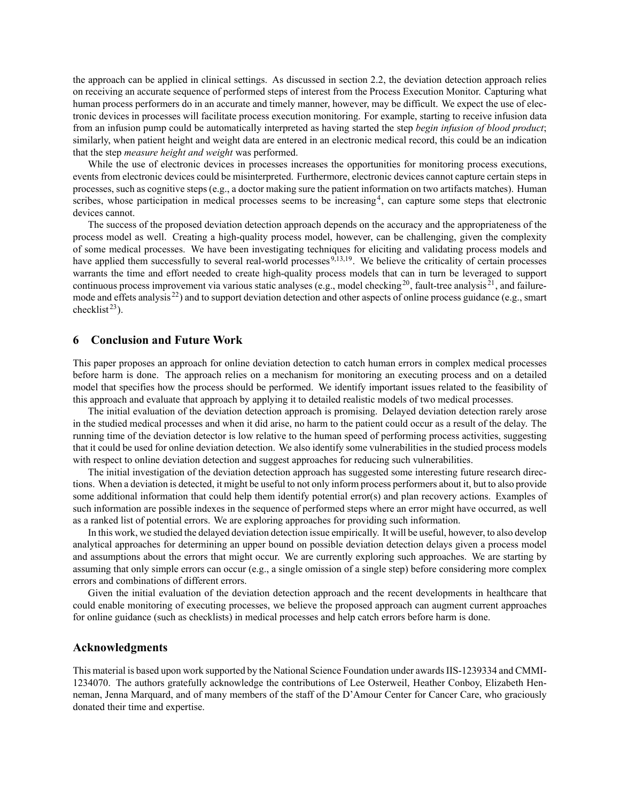the approach can be applied in clinical settings. As discussed in section [2.2,](#page-2-3) the deviation detection approach relies on receiving an accurate sequence of performed steps of interest from the Process Execution Monitor. Capturing what human process performers do in an accurate and timely manner, however, may be difficult. We expect the use of electronic devices in processes will facilitate process execution monitoring. For example, starting to receive infusion data from an infusion pump could be automatically interpreted as having started the step *begin infusion of blood product*; similarly, when patient height and weight data are entered in an electronic medical record, this could be an indication that the step *measure height and weight* was performed.

While the use of electronic devices in processes increases the opportunities for monitoring process executions, events from electronic devices could be misinterpreted. Furthermore, electronic devices cannot capture certain steps in processes, such as cognitive steps (e.g., a doctor making sure the patient information on two artifacts matches). Human scribes, whose participation in medical processes seems to be increasing<sup>[4](#page-9-4)</sup>, can capture some steps that electronic devices cannot.

The success of the proposed deviation detection approach depends on the accuracy and the appropriateness of the process model as well. Creating a high-quality process model, however, can be challenging, given the complexity of some medical processes. We have been investigating techniques for eliciting and validating process models and have applied them successfully to several real-world processes <sup>[9](#page-9-9)[,13](#page-9-13),[19](#page-9-18)</sup>. We believe the criticality of certain processes warrants the time and effort needed to create high-quality process models that can in turn be leveraged to support continuous process improvement via various static analyses (e.g., model checking<sup>[20](#page-9-19)</sup>, fault-tree analysis  $^{21}$  $^{21}$  $^{21}$ , and failuremode and effets analysis  $^{22}$  $^{22}$  $^{22}$ ) and to support deviation detection and other aspects of online process guidance (e.g., smart checklist $23$ ).

### <span id="page-8-0"></span>**6 Conclusion and Future Work**

This paper proposes an approach for online deviation detection to catch human errors in complex medical processes before harm is done. The approach relies on a mechanism for monitoring an executing process and on a detailed model that specifies how the process should be performed. We identify important issues related to the feasibility of this approach and evaluate that approach by applying it to detailed realistic models of two medical processes.

The initial evaluation of the deviation detection approach is promising. Delayed deviation detection rarely arose in the studied medical processes and when it did arise, no harm to the patient could occur as a result of the delay. The running time of the deviation detector is low relative to the human speed of performing process activities, suggesting that it could be used for online deviation detection. We also identify some vulnerabilities in the studied process models with respect to online deviation detection and suggest approaches for reducing such vulnerabilities.

The initial investigation of the deviation detection approach has suggested some interesting future research directions. When a deviation is detected, it might be useful to not only inform process performers about it, but to also provide some additional information that could help them identify potential error(s) and plan recovery actions. Examples of such information are possible indexes in the sequence of performed steps where an error might have occurred, as well as a ranked list of potential errors. We are exploring approaches for providing such information.

In this work, we studied the delayed deviation detection issue empirically. It will be useful, however, to also develop analytical approaches for determining an upper bound on possible deviation detection delays given a process model and assumptions about the errors that might occur. We are currently exploring such approaches. We are starting by assuming that only simple errors can occur (e.g., a single omission of a single step) before considering more complex errors and combinations of different errors.

Given the initial evaluation of the deviation detection approach and the recent developments in healthcare that could enable monitoring of executing processes, we believe the proposed approach can augment current approaches for online guidance (such as checklists) in medical processes and help catch errors before harm is done.

### **Acknowledgments**

This material is based upon work supported by the National Science Foundation under awards IIS-1239334 and CMMI-1234070. The authors gratefully acknowledge the contributions of Lee Osterweil, Heather Conboy, Elizabeth Henneman, Jenna Marquard, and of many members of the staff of the D'Amour Center for Cancer Care, who graciously donated their time and expertise.